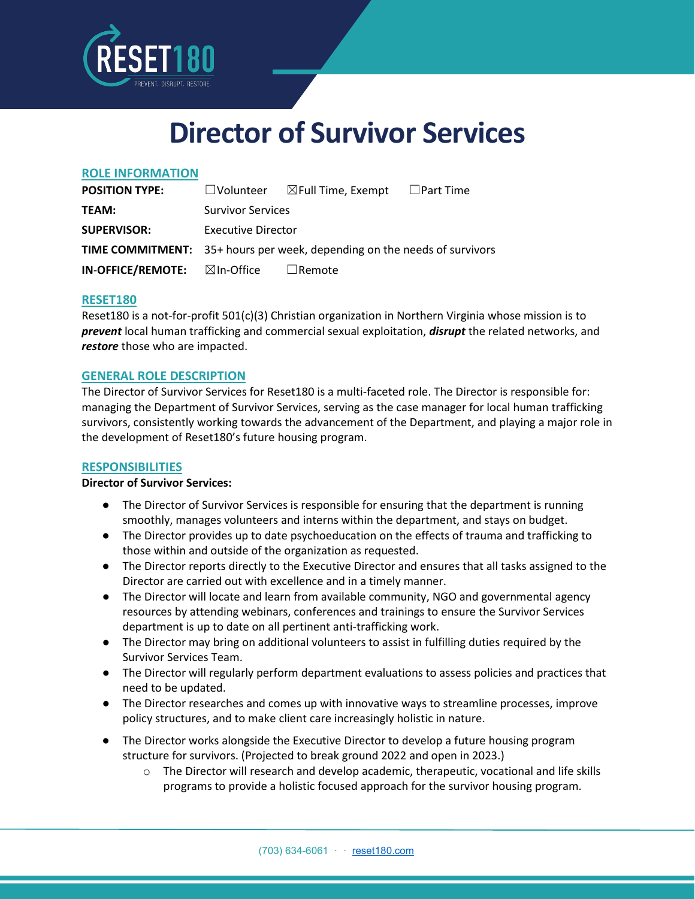

# **Director of Survivor Services**

# **ROLE INFORMATION**

| <b>POSITION TYPE:</b>                   |                                                                                 | $\Box$ Volunteer $\Box$ Full Time, Exempt $\Box$ Part Time |  |
|-----------------------------------------|---------------------------------------------------------------------------------|------------------------------------------------------------|--|
| TEAM:                                   | <b>Survivor Services</b>                                                        |                                                            |  |
| <b>SUPERVISOR:</b>                      | Executive Director                                                              |                                                            |  |
|                                         | <b>TIME COMMITMENT:</b> 35+ hours per week, depending on the needs of survivors |                                                            |  |
| IN-OFFICE/REMOTE: $\boxtimes$ In-Office |                                                                                 | $\Box$ Remote                                              |  |

## **RESET180**

Reset180 is a not-for-profit 501(c)(3) Christian organization in Northern Virginia whose mission is to *prevent* local human trafficking and commercial sexual exploitation, *disrupt* the related networks, and *restore* those who are impacted.

## **GENERAL ROLE DESCRIPTION**

The Director of Survivor Services for Reset180 is a multi-faceted role. The Director is responsible for: managing the Department of Survivor Services, serving as the case manager for local human trafficking survivors, consistently working towards the advancement of the Department, and playing a major role in the development of Reset180's future housing program.

## **RESPONSIBILITIES**

### **Director of Survivor Services:**

- The Director of Survivor Services is responsible for ensuring that the department is running smoothly, manages volunteers and interns within the department, and stays on budget.
- The Director provides up to date psychoeducation on the effects of trauma and trafficking to those within and outside of the organization as requested.
- The Director reports directly to the Executive Director and ensures that all tasks assigned to the Director are carried out with excellence and in a timely manner.
- The Director will locate and learn from available community, NGO and governmental agency resources by attending webinars, conferences and trainings to ensure the Survivor Services department is up to date on all pertinent anti-trafficking work.
- The Director may bring on additional volunteers to assist in fulfilling duties required by the Survivor Services Team.
- The Director will regularly perform department evaluations to assess policies and practices that need to be updated.
- The Director researches and comes up with innovative ways to streamline processes, improve policy structures, and to make client care increasingly holistic in nature.
- The Director works alongside the Executive Director to develop a future housing program structure for survivors. (Projected to break ground 2022 and open in 2023.)
	- o The Director will research and develop academic, therapeutic, vocational and life skills programs to provide a holistic focused approach for the survivor housing program.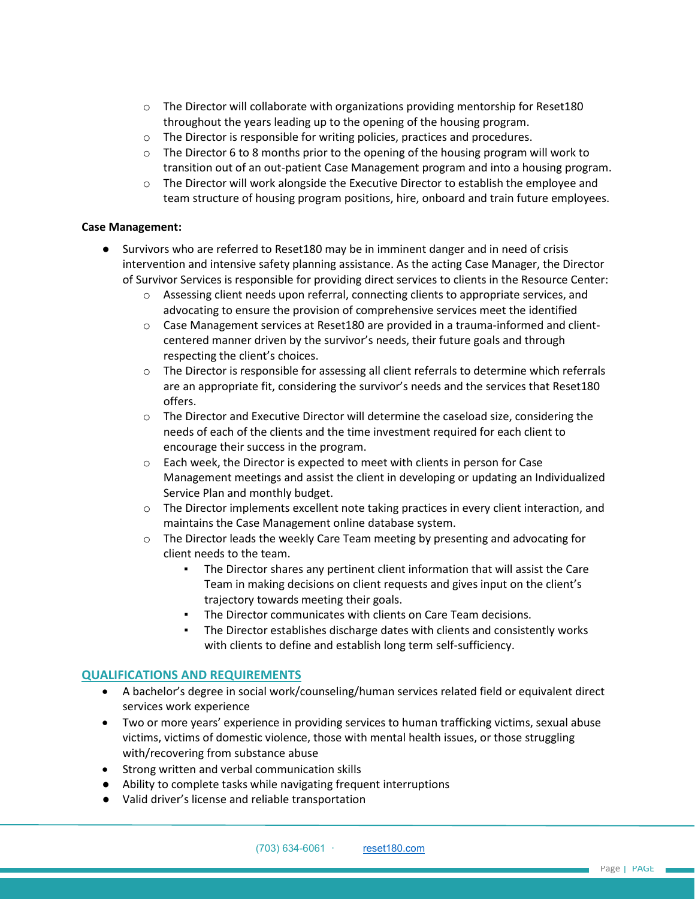- $\circ$  The Director will collaborate with organizations providing mentorship for Reset180 throughout the years leading up to the opening of the housing program.
- o The Director is responsible for writing policies, practices and procedures.
- $\circ$  The Director 6 to 8 months prior to the opening of the housing program will work to transition out of an out-patient Case Management program and into a housing program.
- $\circ$  The Director will work alongside the Executive Director to establish the employee and team structure of housing program positions, hire, onboard and train future employees.

## **Case Management:**

- Survivors who are referred to Reset180 may be in imminent danger and in need of crisis intervention and intensive safety planning assistance. As the acting Case Manager, the Director of Survivor Services is responsible for providing direct services to clients in the Resource Center:
	- $\circ$  Assessing client needs upon referral, connecting clients to appropriate services, and advocating to ensure the provision of comprehensive services meet the identified
	- $\circ$  Case Management services at Reset180 are provided in a trauma-informed and clientcentered manner driven by the survivor's needs, their future goals and through respecting the client's choices.
	- $\circ$  The Director is responsible for assessing all client referrals to determine which referrals are an appropriate fit, considering the survivor's needs and the services that Reset180 offers.
	- o The Director and Executive Director will determine the caseload size, considering the needs of each of the clients and the time investment required for each client to encourage their success in the program.
	- o Each week, the Director is expected to meet with clients in person for Case Management meetings and assist the client in developing or updating an Individualized Service Plan and monthly budget.
	- $\circ$  The Director implements excellent note taking practices in every client interaction, and maintains the Case Management online database system.
	- $\circ$  The Director leads the weekly Care Team meeting by presenting and advocating for client needs to the team.
		- The Director shares any pertinent client information that will assist the Care Team in making decisions on client requests and gives input on the client's trajectory towards meeting their goals.
		- The Director communicates with clients on Care Team decisions.
		- The Director establishes discharge dates with clients and consistently works with clients to define and establish long term self-sufficiency.

## **QUALIFICATIONS AND REQUIREMENTS**

- A bachelor's degree in social work/counseling/human services related field or equivalent direct services work experience
- Two or more years' experience in providing services to human trafficking victims, sexual abuse victims, victims of domestic violence, those with mental health issues, or those struggling with/recovering from substance abuse
- Strong written and verbal communication skills
- Ability to complete tasks while navigating frequent interruptions
- Valid driver's license and reliable transportation